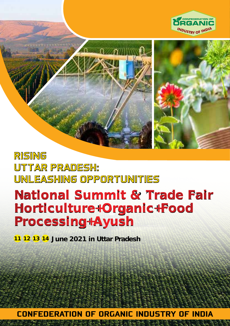



# RISING UTTAR PRADESH: UNLEASHING OPPORTUNITIES

# **National Summit & Trade Fair Horticulture+Organic+Food Processing+Ayush**

**11 12 13 14 June 2021 in Uttar Pradesh**

CONFEDERATION OF ORGANIC INDUSTRY OF INDIA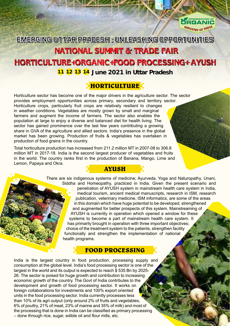

EMERGING UTTAR PRADESH : UNLEASHING OPPORTUNITIES

# **NATIONAL SUMMIT & TRADE FAIR**

# **HORTICULTURE+ORGANIC+FOOD PROCESSING+ AYUSH**

#### **11 12 13 14 June 2021 in Uttar Pradesh**

## **HORTICULTURE**

**AYUSH**

Horticulture sector has become one of the major drivers in the agriculture sector. The sector provides employment opportunities across primary, secondary and territory sector. Horticulture crops, particularly fruit crops are relatively resilient to changes in weather conditions. Vegetables are mostly grown by small and marginal farmers and augment the income of farmers. The sector also enables the population at large to enjoy a diverse and balanced diet for health living. The sector has gained prominence over the last few years contributing a growing share in GVA of the agriculture and allied sectors. India's presence in the global market has been growing. Production of fruits & vegetables has overtaken in production of food grains in the country.

Total horticulture production has increased from 211.2 million MT in 2007-08 to 306.8 million MT in 2017-18. India is the second largest producer of vegetables and fruits in the world. The country ranks first in the production of Banana, Mango, Lime and Lemon, Papaya and Okra.

> There are six indigenous systems of medicine; Ayurveda, Yoga and Naturopathy, Unani, Siddha and Homeopathy, practiced in India. Given the present scenario and penetration of AYUSH system in mainstream health care system in India, medical tourism, ancient medical manuscripts, research in ISM, research publication, veterinary medicine, ISM informatics, are some of the areas in this domain which have huge potential to be developed, strengthened and augmented for better prospects of this system. Mainstreaming of AYUSH is currently in operation which opened a window for these systems to become a part of mainstream health care system. It has primarily brought in operation with three important objectives; choice of the treatment system to the patients, strengthen facility functionally and strengthen the implementation of national health programs.

#### **FOOD PROCESSING**

India is the largest country in food production, processing supply and consumption at the global level. India's food processing sector is one of the largest in the world and its output is expected to reach \$ 535 Bn by 2025-26. The sector is poised for huge growth and contribution to increasing economic growth of the country. The Govt of India contributes to the development and growth of food processing sector. It works on foreign collaborations for investments and 100% export oriented units in the food processing sector. India currently processes less than 10% of its agri output (only around 2% of fruits and vegetables, 6% of poultry, 21% of meat, 23% of marine and 35% of milk) and most of the processing that is done in India can be classified as primary processing – done through rice, sugar, edible oil and flour mills, etc.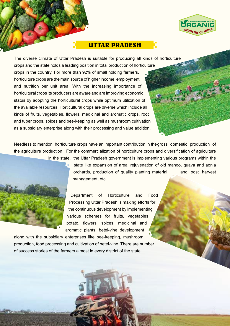

#### **UTTAR PRADESH**

The diverse climate of Uttar Pradesh is suitable for producing all kinds of horticulture crops and the state holds a leading position in total production of horticulture crops in the country. For more than 92% of small holding farmers, horticulture crops are the main source of higher income, employment and nutrition per unit area. With the increasing importance of horticultural crops its producers are aware and are improving economic status by adopting the horticultural crops while optimum utilization of the available resources. Horticultural crops are diverse which include all kinds of fruits, vegetables, flowers, medicinal and aromatic crops, root and tuber crops, spices and bee-keeping as well as mushroom cultivation as a subsidiary enterprise along with their processing and value addition.

Needless to mention, horticulture crops have an important contribution in the gross domestic production of the agriculture production. For the commercialization of horticulture crops and diversification of agriculture in the state, the Uttar Pradesh government is implementing various programs within the



state like expansion of area, rejuvenation of old mango, guava and aonla orchards, production of quality planting material and post harvest management, etc.

Department of Horticulture and Food Processing Uttar Pradesh is making efforts for the continuous development by implementing various schemes for fruits, vegetables, potato, flowers, spices, medicinal and aromatic plants, betel-vine development

along with the subsidiary enterprises like bee-keeping, mushroom production, food processing and cultivation of betel-vine. There are number of success stories of the farmers almost in every district of the state.